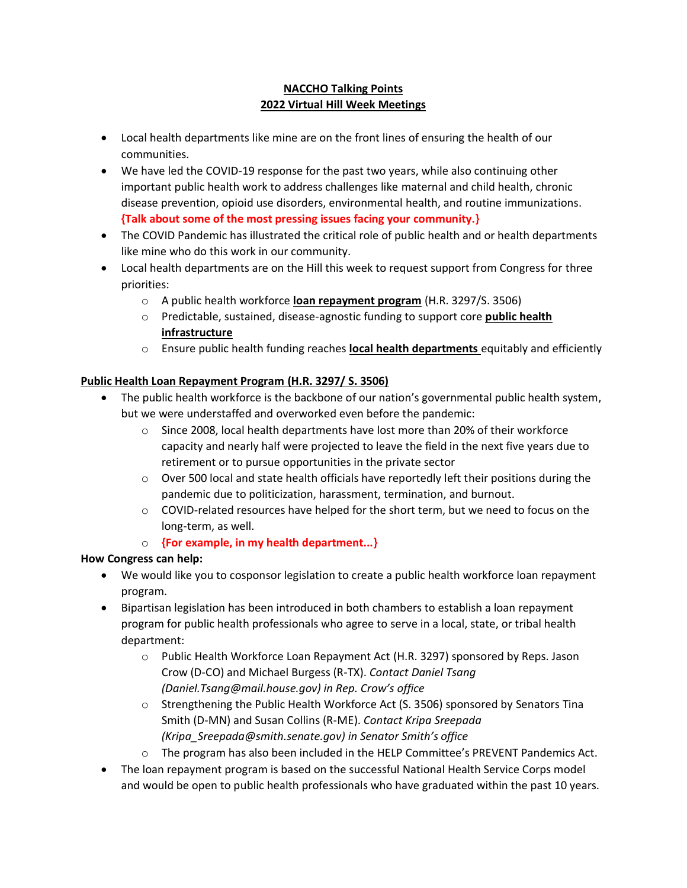### **NACCHO Talking Points 2022 Virtual Hill Week Meetings**

- Local health departments like mine are on the front lines of ensuring the health of our communities.
- We have led the COVID-19 response for the past two years, while also continuing other important public health work to address challenges like maternal and child health, chronic disease prevention, opioid use disorders, environmental health, and routine immunizations. **{Talk about some of the most pressing issues facing your community.}**
- The COVID Pandemic has illustrated the critical role of public health and or health departments like mine who do this work in our community.
- Local health departments are on the Hill this week to request support from Congress for three priorities:
	- o A public health workforce **loan repayment program** (H.R. 3297/S. 3506)
	- o Predictable, sustained, disease-agnostic funding to support core **public health infrastructure**
	- o Ensure public health funding reaches **local health departments** equitably and efficiently

## **Public Health Loan Repayment Program (H.R. 3297/ S. 3506)**

- The public health workforce is the backbone of our nation's governmental public health system, but we were understaffed and overworked even before the pandemic:
	- $\circ$  Since 2008, local health departments have lost more than 20% of their workforce capacity and nearly half were projected to leave the field in the next five years due to retirement or to pursue opportunities in the private sector
	- $\circ$  Over 500 local and state health officials have reportedly left their positions during the pandemic due to politicization, harassment, termination, and burnout.
	- o COVID-related resources have helped for the short term, but we need to focus on the long-term, as well.
	- o **{For example, in my health department...}**

# **How Congress can help:**

- We would like you to cosponsor legislation to create a public health workforce loan repayment program.
- Bipartisan legislation has been introduced in both chambers to establish a loan repayment program for public health professionals who agree to serve in a local, state, or tribal health department:
	- o Public Health Workforce Loan Repayment Act (H.R. 3297) sponsored by Reps. Jason Crow (D-CO) and Michael Burgess (R-TX). *Contact Daniel Tsang (Daniel.Tsang@mail.house.gov) in Rep. Crow's office*
	- $\circ$  Strengthening the Public Health Workforce Act (S. 3506) sponsored by Senators Tina Smith (D-MN) and Susan Collins (R-ME). *Contact Kripa Sreepada (Kripa\_Sreepada@smith.senate.gov) in Senator Smith's office*
	- o The program has also been included in the HELP Committee's PREVENT Pandemics Act.
- The loan repayment program is based on the successful National Health Service Corps model and would be open to public health professionals who have graduated within the past 10 years.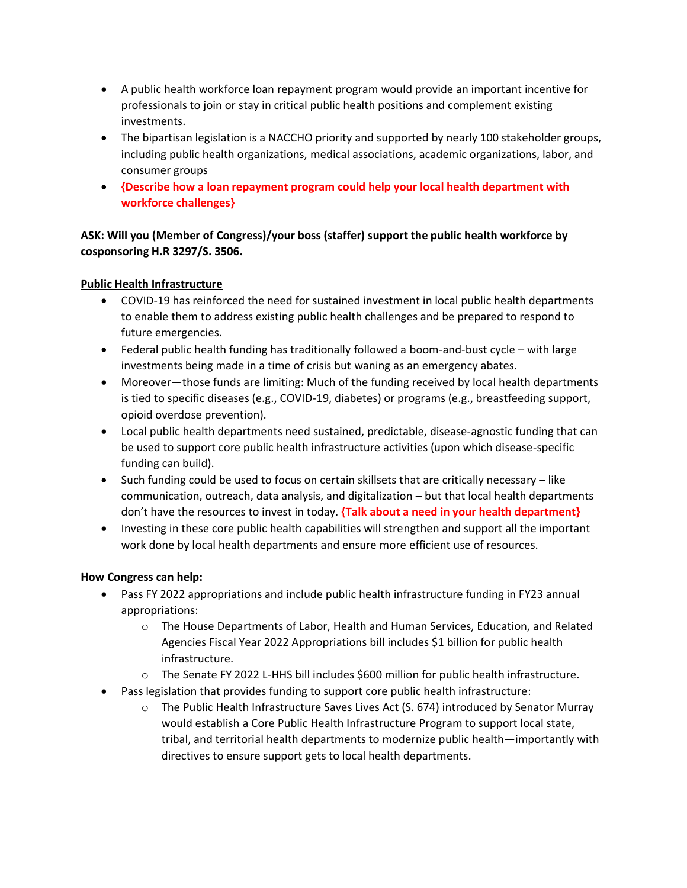- A public health workforce loan repayment program would provide an important incentive for professionals to join or stay in critical public health positions and complement existing investments.
- The bipartisan legislation is a NACCHO priority and supported by nearly 100 stakeholder groups, including public health organizations, medical associations, academic organizations, labor, and consumer groups
- **{Describe how a loan repayment program could help your local health department with workforce challenges}**

**ASK: Will you (Member of Congress)/your boss (staffer) support the public health workforce by cosponsoring H.R 3297/S. 3506.**

### **Public Health Infrastructure**

- COVID-19 has reinforced the need for sustained investment in local public health departments to enable them to address existing public health challenges and be prepared to respond to future emergencies.
- Federal public health funding has traditionally followed a boom-and-bust cycle with large investments being made in a time of crisis but waning as an emergency abates.
- Moreover—those funds are limiting: Much of the funding received by local health departments is tied to specific diseases (e.g., COVID-19, diabetes) or programs (e.g., breastfeeding support, opioid overdose prevention).
- Local public health departments need sustained, predictable, disease-agnostic funding that can be used to support core public health infrastructure activities (upon which disease-specific funding can build).
- Such funding could be used to focus on certain skillsets that are critically necessary like communication, outreach, data analysis, and digitalization – but that local health departments don't have the resources to invest in today. **{Talk about a need in your health department}**
- Investing in these core public health capabilities will strengthen and support all the important work done by local health departments and ensure more efficient use of resources.

#### **How Congress can help:**

- Pass FY 2022 appropriations and include public health infrastructure funding in FY23 annual appropriations:
	- o The House Departments of Labor, Health and Human Services, Education, and Related Agencies Fiscal Year 2022 Appropriations bill includes \$1 billion for public health infrastructure.
	- o The Senate FY 2022 L-HHS bill includes \$600 million for public health infrastructure.
- Pass legislation that provides funding to support core public health infrastructure:
	- $\circ$  The Public Health Infrastructure Saves Lives Act (S. 674) introduced by Senator Murray would establish a Core Public Health Infrastructure Program to support local state, tribal, and territorial health departments to modernize public health—importantly with directives to ensure support gets to local health departments.